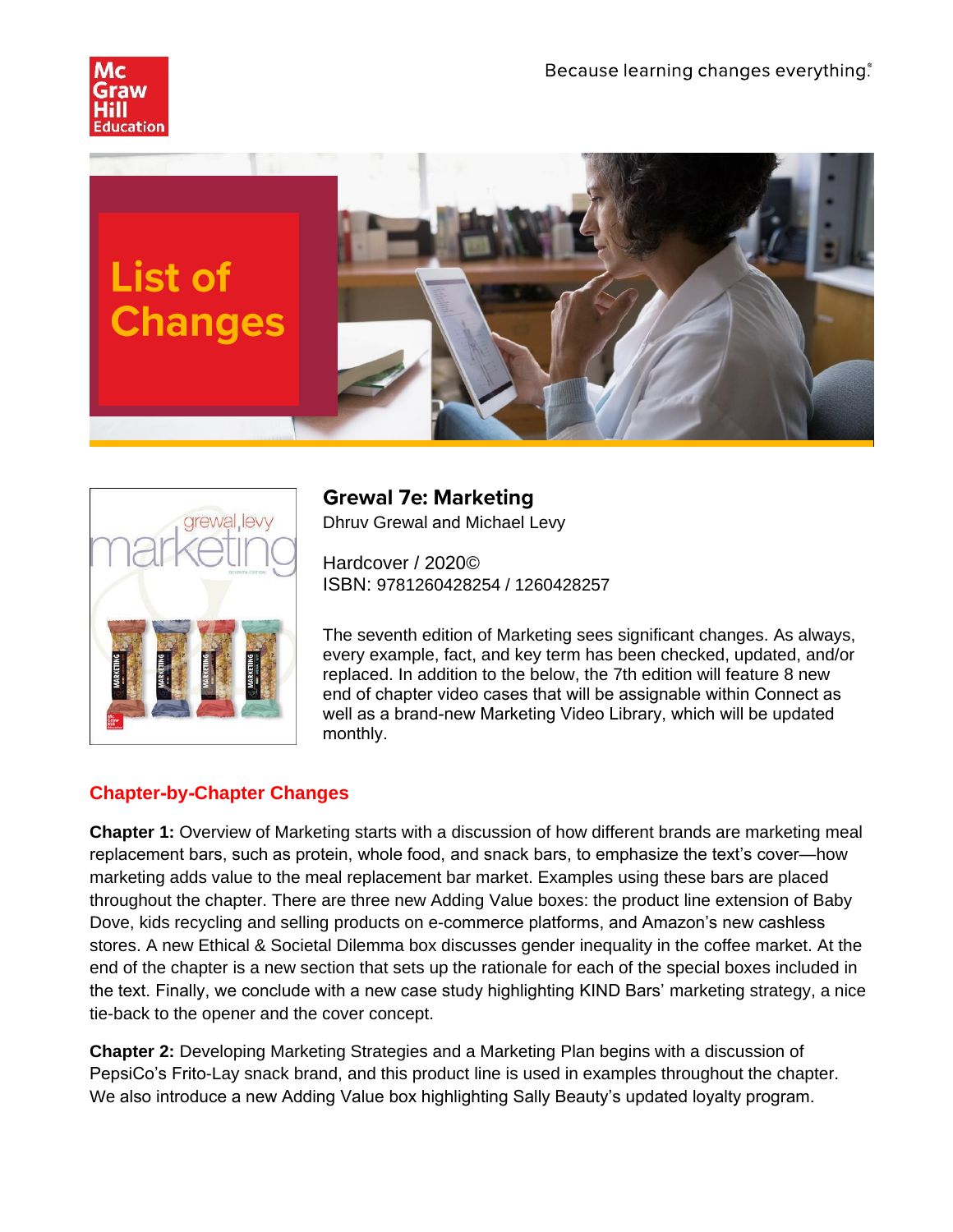





**Grewal 7e: Marketing** Dhruv Grewal and Michael Levy

Hardcover / 2020© ISBN: 9781260428254 / 1260428257

The seventh edition of Marketing sees significant changes. As always, every example, fact, and key term has been checked, updated, and/or replaced. In addition to the below, the 7th edition will feature 8 new end of chapter video cases that will be assignable within Connect as well as a brand-new Marketing Video Library, which will be updated monthly.

## **Chapter-by-Chapter Changes**

**Chapter 1:** Overview of Marketing starts with a discussion of how different brands are marketing meal replacement bars, such as protein, whole food, and snack bars, to emphasize the text's cover—how marketing adds value to the meal replacement bar market. Examples using these bars are placed throughout the chapter. There are three new Adding Value boxes: the product line extension of Baby Dove, kids recycling and selling products on e-commerce platforms, and Amazon's new cashless stores. A new Ethical & Societal Dilemma box discusses gender inequality in the coffee market. At the end of the chapter is a new section that sets up the rationale for each of the special boxes included in the text. Finally, we conclude with a new case study highlighting KIND Bars' marketing strategy, a nice tie-back to the opener and the cover concept.

**Chapter 2:** Developing Marketing Strategies and a Marketing Plan begins with a discussion of PepsiCo's Frito-Lay snack brand, and this product line is used in examples throughout the chapter. We also introduce a new Adding Value box highlighting Sally Beauty's updated loyalty program.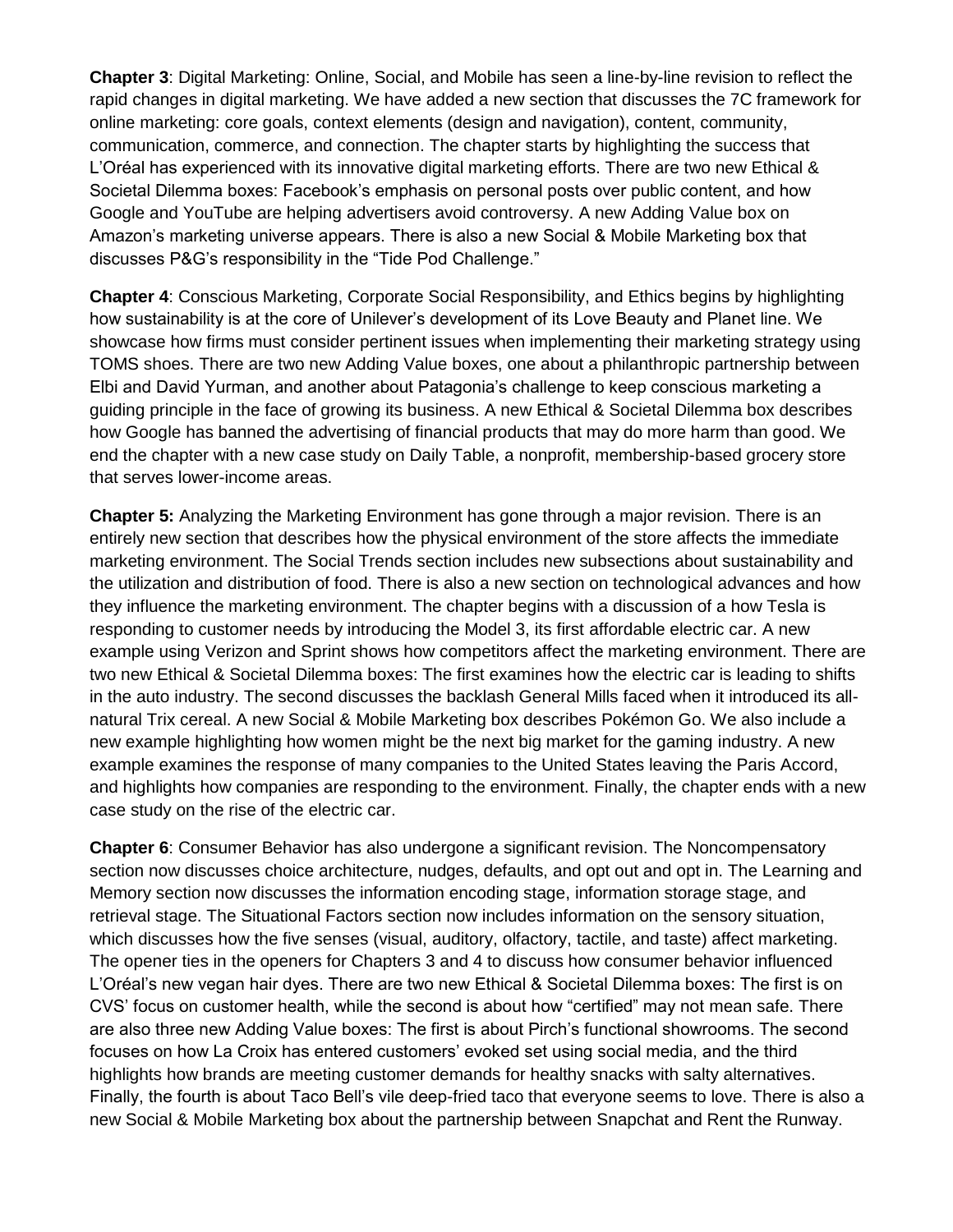**Chapter 3**: Digital Marketing: Online, Social, and Mobile has seen a line-by-line revision to reflect the rapid changes in digital marketing. We have added a new section that discusses the 7C framework for online marketing: core goals, context elements (design and navigation), content, community, communication, commerce, and connection. The chapter starts by highlighting the success that L'Oréal has experienced with its innovative digital marketing efforts. There are two new Ethical & Societal Dilemma boxes: Facebook's emphasis on personal posts over public content, and how Google and YouTube are helping advertisers avoid controversy. A new Adding Value box on Amazon's marketing universe appears. There is also a new Social & Mobile Marketing box that discusses P&G's responsibility in the "Tide Pod Challenge."

**Chapter 4**: Conscious Marketing, Corporate Social Responsibility, and Ethics begins by highlighting how sustainability is at the core of Unilever's development of its Love Beauty and Planet line. We showcase how firms must consider pertinent issues when implementing their marketing strategy using TOMS shoes. There are two new Adding Value boxes, one about a philanthropic partnership between Elbi and David Yurman, and another about Patagonia's challenge to keep conscious marketing a guiding principle in the face of growing its business. A new Ethical & Societal Dilemma box describes how Google has banned the advertising of financial products that may do more harm than good. We end the chapter with a new case study on Daily Table, a nonprofit, membership-based grocery store that serves lower-income areas.

**Chapter 5:** Analyzing the Marketing Environment has gone through a major revision. There is an entirely new section that describes how the physical environment of the store affects the immediate marketing environment. The Social Trends section includes new subsections about sustainability and the utilization and distribution of food. There is also a new section on technological advances and how they influence the marketing environment. The chapter begins with a discussion of a how Tesla is responding to customer needs by introducing the Model 3, its first affordable electric car. A new example using Verizon and Sprint shows how competitors affect the marketing environment. There are two new Ethical & Societal Dilemma boxes: The first examines how the electric car is leading to shifts in the auto industry. The second discusses the backlash General Mills faced when it introduced its allnatural Trix cereal. A new Social & Mobile Marketing box describes Pokémon Go. We also include a new example highlighting how women might be the next big market for the gaming industry. A new example examines the response of many companies to the United States leaving the Paris Accord, and highlights how companies are responding to the environment. Finally, the chapter ends with a new case study on the rise of the electric car.

**Chapter 6**: Consumer Behavior has also undergone a significant revision. The Noncompensatory section now discusses choice architecture, nudges, defaults, and opt out and opt in. The Learning and Memory section now discusses the information encoding stage, information storage stage, and retrieval stage. The Situational Factors section now includes information on the sensory situation, which discusses how the five senses (visual, auditory, olfactory, tactile, and taste) affect marketing. The opener ties in the openers for Chapters 3 and 4 to discuss how consumer behavior influenced L'Oréal's new vegan hair dyes. There are two new Ethical & Societal Dilemma boxes: The first is on CVS' focus on customer health, while the second is about how "certified" may not mean safe. There are also three new Adding Value boxes: The first is about Pirch's functional showrooms. The second focuses on how La Croix has entered customers' evoked set using social media, and the third highlights how brands are meeting customer demands for healthy snacks with salty alternatives. Finally, the fourth is about Taco Bell's vile deep-fried taco that everyone seems to love. There is also a new Social & Mobile Marketing box about the partnership between Snapchat and Rent the Runway.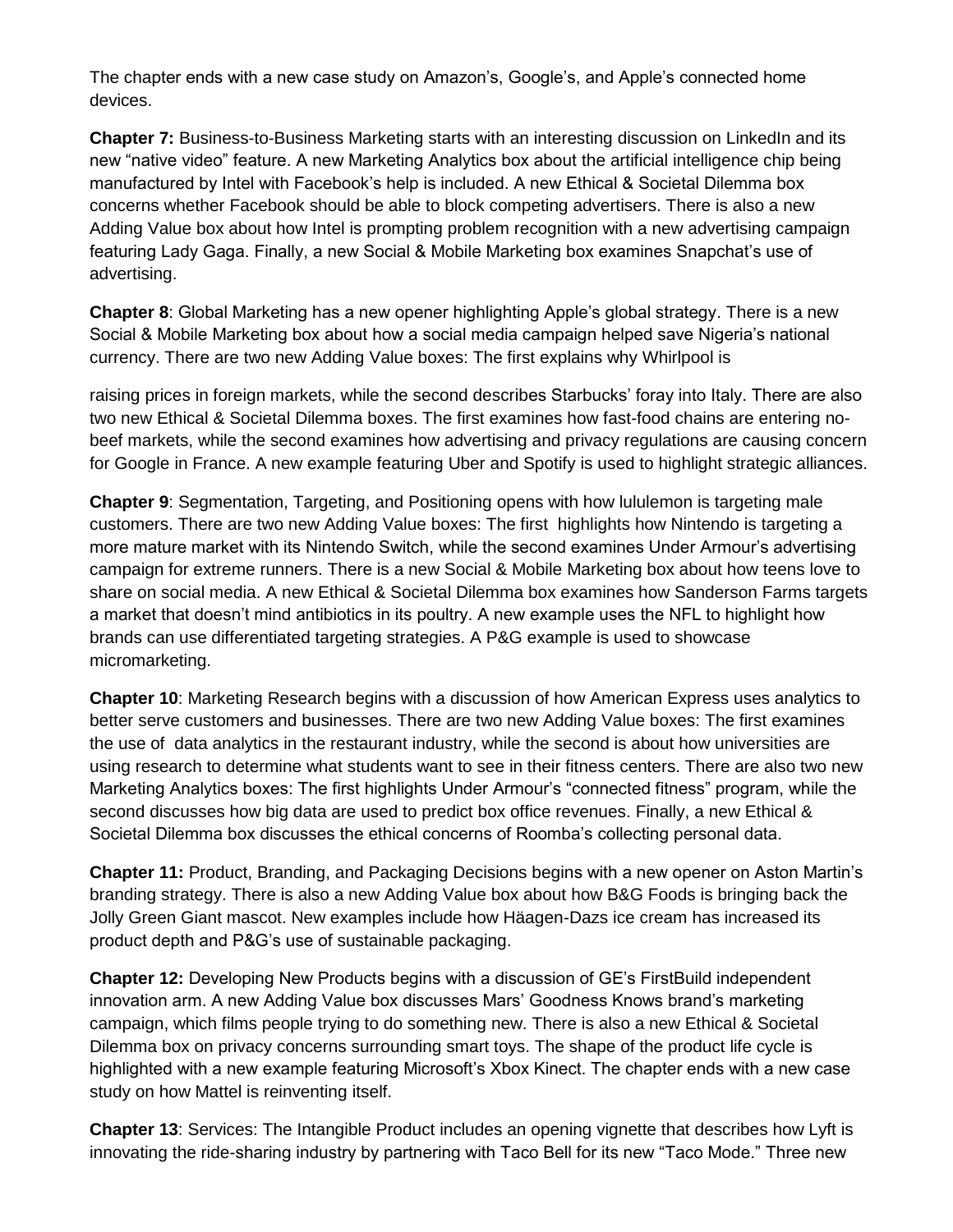The chapter ends with a new case study on Amazon's, Google's, and Apple's connected home devices.

**Chapter 7:** Business-to-Business Marketing starts with an interesting discussion on LinkedIn and its new "native video" feature. A new Marketing Analytics box about the artificial intelligence chip being manufactured by Intel with Facebook's help is included. A new Ethical & Societal Dilemma box concerns whether Facebook should be able to block competing advertisers. There is also a new Adding Value box about how Intel is prompting problem recognition with a new advertising campaign featuring Lady Gaga. Finally, a new Social & Mobile Marketing box examines Snapchat's use of advertising.

**Chapter 8**: Global Marketing has a new opener highlighting Apple's global strategy. There is a new Social & Mobile Marketing box about how a social media campaign helped save Nigeria's national currency. There are two new Adding Value boxes: The first explains why Whirlpool is

raising prices in foreign markets, while the second describes Starbucks' foray into Italy. There are also two new Ethical & Societal Dilemma boxes. The first examines how fast-food chains are entering nobeef markets, while the second examines how advertising and privacy regulations are causing concern for Google in France. A new example featuring Uber and Spotify is used to highlight strategic alliances.

**Chapter 9**: Segmentation, Targeting, and Positioning opens with how lululemon is targeting male customers. There are two new Adding Value boxes: The first highlights how Nintendo is targeting a more mature market with its Nintendo Switch, while the second examines Under Armour's advertising campaign for extreme runners. There is a new Social & Mobile Marketing box about how teens love to share on social media. A new Ethical & Societal Dilemma box examines how Sanderson Farms targets a market that doesn't mind antibiotics in its poultry. A new example uses the NFL to highlight how brands can use differentiated targeting strategies. A P&G example is used to showcase micromarketing.

**Chapter 10**: Marketing Research begins with a discussion of how American Express uses analytics to better serve customers and businesses. There are two new Adding Value boxes: The first examines the use of data analytics in the restaurant industry, while the second is about how universities are using research to determine what students want to see in their fitness centers. There are also two new Marketing Analytics boxes: The first highlights Under Armour's "connected fitness" program, while the second discusses how big data are used to predict box office revenues. Finally, a new Ethical & Societal Dilemma box discusses the ethical concerns of Roomba's collecting personal data.

**Chapter 11:** Product, Branding, and Packaging Decisions begins with a new opener on Aston Martin's branding strategy. There is also a new Adding Value box about how B&G Foods is bringing back the Jolly Green Giant mascot. New examples include how Häagen-Dazs ice cream has increased its product depth and P&G's use of sustainable packaging.

**Chapter 12:** Developing New Products begins with a discussion of GE's FirstBuild independent innovation arm. A new Adding Value box discusses Mars' Goodness Knows brand's marketing campaign, which films people trying to do something new. There is also a new Ethical & Societal Dilemma box on privacy concerns surrounding smart toys. The shape of the product life cycle is highlighted with a new example featuring Microsoft's Xbox Kinect. The chapter ends with a new case study on how Mattel is reinventing itself.

**Chapter 13**: Services: The Intangible Product includes an opening vignette that describes how Lyft is innovating the ride-sharing industry by partnering with Taco Bell for its new "Taco Mode." Three new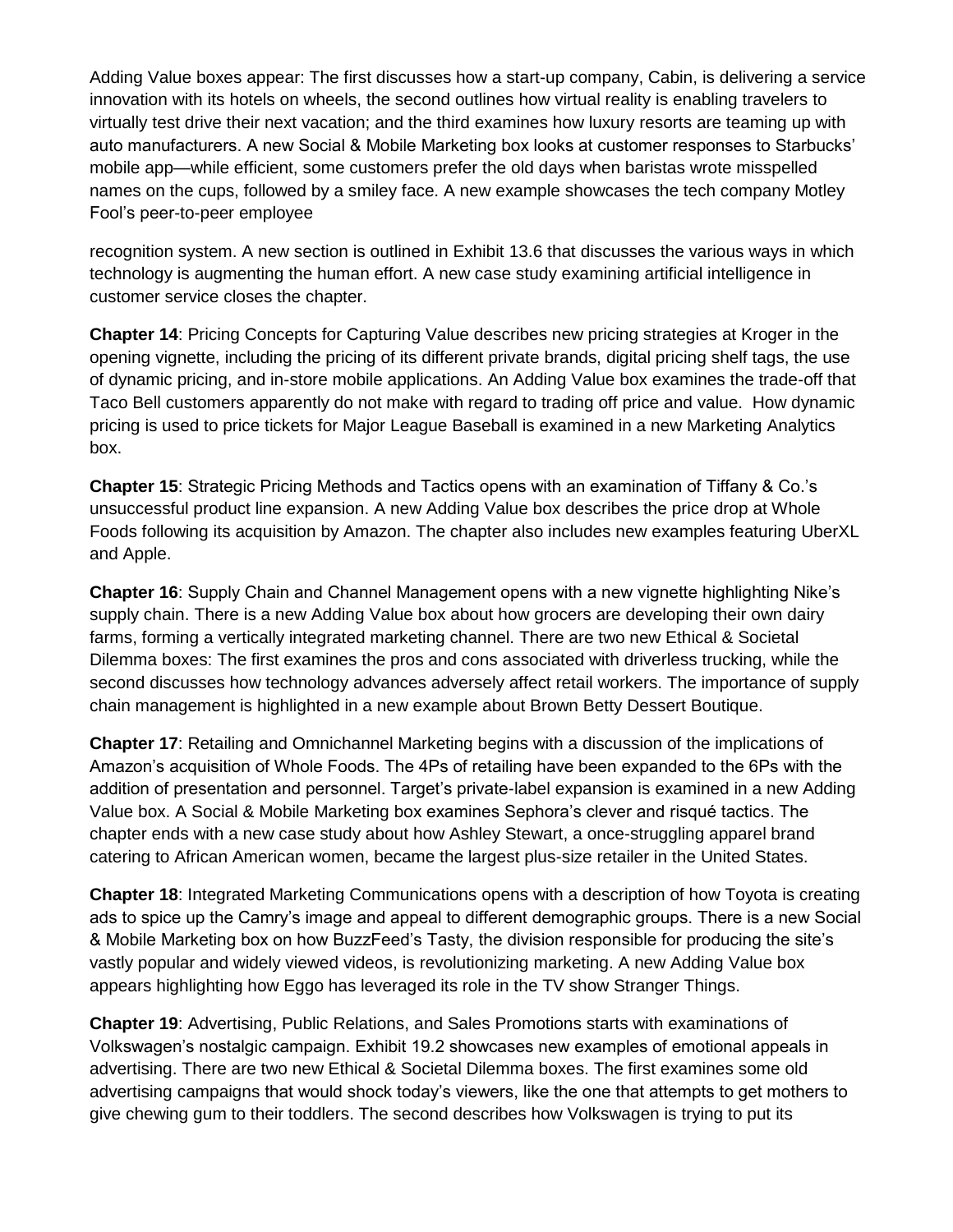Adding Value boxes appear: The first discusses how a start-up company, Cabin, is delivering a service innovation with its hotels on wheels, the second outlines how virtual reality is enabling travelers to virtually test drive their next vacation; and the third examines how luxury resorts are teaming up with auto manufacturers. A new Social & Mobile Marketing box looks at customer responses to Starbucks' mobile app—while efficient, some customers prefer the old days when baristas wrote misspelled names on the cups, followed by a smiley face. A new example showcases the tech company Motley Fool's peer-to-peer employee

recognition system. A new section is outlined in Exhibit 13.6 that discusses the various ways in which technology is augmenting the human effort. A new case study examining artificial intelligence in customer service closes the chapter.

**Chapter 14**: Pricing Concepts for Capturing Value describes new pricing strategies at Kroger in the opening vignette, including the pricing of its different private brands, digital pricing shelf tags, the use of dynamic pricing, and in-store mobile applications. An Adding Value box examines the trade-off that Taco Bell customers apparently do not make with regard to trading off price and value. How dynamic pricing is used to price tickets for Major League Baseball is examined in a new Marketing Analytics box.

**Chapter 15**: Strategic Pricing Methods and Tactics opens with an examination of Tiffany & Co.'s unsuccessful product line expansion. A new Adding Value box describes the price drop at Whole Foods following its acquisition by Amazon. The chapter also includes new examples featuring UberXL and Apple.

**Chapter 16**: Supply Chain and Channel Management opens with a new vignette highlighting Nike's supply chain. There is a new Adding Value box about how grocers are developing their own dairy farms, forming a vertically integrated marketing channel. There are two new Ethical & Societal Dilemma boxes: The first examines the pros and cons associated with driverless trucking, while the second discusses how technology advances adversely affect retail workers. The importance of supply chain management is highlighted in a new example about Brown Betty Dessert Boutique.

**Chapter 17**: Retailing and Omnichannel Marketing begins with a discussion of the implications of Amazon's acquisition of Whole Foods. The 4Ps of retailing have been expanded to the 6Ps with the addition of presentation and personnel. Target's private-label expansion is examined in a new Adding Value box. A Social & Mobile Marketing box examines Sephora's clever and risqué tactics. The chapter ends with a new case study about how Ashley Stewart, a once-struggling apparel brand catering to African American women, became the largest plus-size retailer in the United States.

**Chapter 18**: Integrated Marketing Communications opens with a description of how Toyota is creating ads to spice up the Camry's image and appeal to different demographic groups. There is a new Social & Mobile Marketing box on how BuzzFeed's Tasty, the division responsible for producing the site's vastly popular and widely viewed videos, is revolutionizing marketing. A new Adding Value box appears highlighting how Eggo has leveraged its role in the TV show Stranger Things.

**Chapter 19**: Advertising, Public Relations, and Sales Promotions starts with examinations of Volkswagen's nostalgic campaign. Exhibit 19.2 showcases new examples of emotional appeals in advertising. There are two new Ethical & Societal Dilemma boxes. The first examines some old advertising campaigns that would shock today's viewers, like the one that attempts to get mothers to give chewing gum to their toddlers. The second describes how Volkswagen is trying to put its